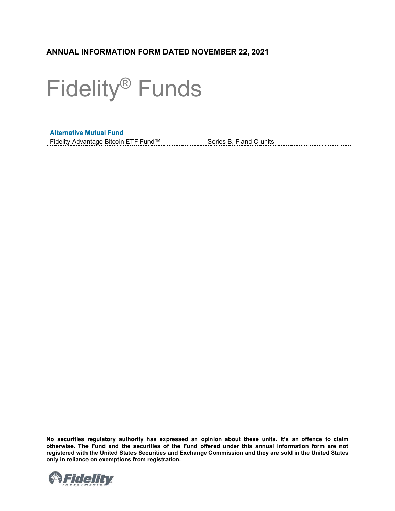# **ANNUAL INFORMATION FORM DATED NOVEMBER 22, 2021**

# Fidelity® Funds

| <b>Alternative Mutual Fund</b>       |                         |
|--------------------------------------|-------------------------|
| Fidelity Advantage Bitcoin ETF Fund™ | Series B, F and O units |

**No securities regulatory authority has expressed an opinion about these units. It's an offence to claim otherwise. The Fund and the securities of the Fund offered under this annual information form are not registered with the United States Securities and Exchange Commission and they are sold in the United States only in reliance on exemptions from registration.**

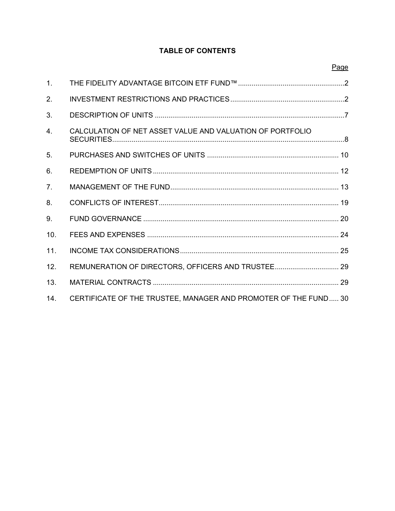## **TABLE OF CONTENTS**

| 1.             |                                                                 |  |
|----------------|-----------------------------------------------------------------|--|
| 2.             |                                                                 |  |
| 3.             |                                                                 |  |
| 4.             | CALCULATION OF NET ASSET VALUE AND VALUATION OF PORTFOLIO       |  |
| 5.             |                                                                 |  |
| 6.             |                                                                 |  |
| 7 <sub>1</sub> |                                                                 |  |
| 8.             |                                                                 |  |
| 9.             |                                                                 |  |
| 10.            |                                                                 |  |
| 11.            |                                                                 |  |
| 12.            | REMUNERATION OF DIRECTORS, OFFICERS AND TRUSTEE 29              |  |
| 13.            |                                                                 |  |
| 14.            | CERTIFICATE OF THE TRUSTEE, MANAGER AND PROMOTER OF THE FUND 30 |  |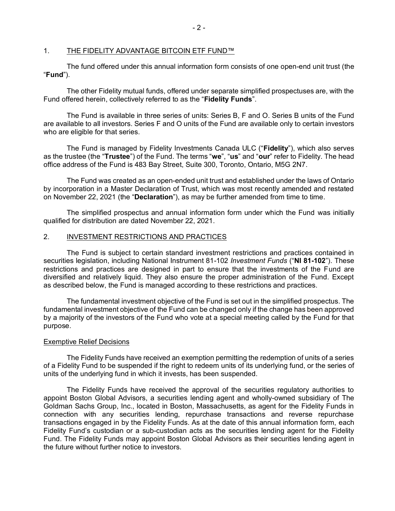## <span id="page-2-0"></span>1. THE FIDELITY ADVANTAGE BITCOIN ETF FUND™

The fund offered under this annual information form consists of one open-end unit trust (the "**Fund**").

The other Fidelity mutual funds, offered under separate simplified prospectuses are, with the Fund offered herein, collectively referred to as the "**Fidelity Funds**".

The Fund is available in three series of units: Series B, F and O. Series B units of the Fund are available to all investors. Series F and O units of the Fund are available only to certain investors who are eligible for that series.

The Fund is managed by Fidelity Investments Canada ULC ("**Fidelity**"), which also serves as the trustee (the "**Trustee**") of the Fund. The terms "**we**", "**us**" and "**our**" refer to Fidelity. The head office address of the Fund is 483 Bay Street, Suite 300, Toronto, Ontario, M5G 2N7.

The Fund was created as an open-ended unit trust and established under the laws of Ontario by incorporation in a Master Declaration of Trust, which was most recently amended and restated on November 22, 2021 (the "**Declaration**"), as may be further amended from time to time.

The simplified prospectus and annual information form under which the Fund was initially qualified for distribution are dated November 22, 2021.

#### <span id="page-2-1"></span>2. INVESTMENT RESTRICTIONS AND PRACTICES

The Fund is subject to certain standard investment restrictions and practices contained in securities legislation, including National Instrument 81-102 *Investment Funds* ("**NI 81-102**"). These restrictions and practices are designed in part to ensure that the investments of the Fund are diversified and relatively liquid. They also ensure the proper administration of the Fund. Except as described below, the Fund is managed according to these restrictions and practices.

The fundamental investment objective of the Fund is set out in the simplified prospectus. The fundamental investment objective of the Fund can be changed only if the change has been approved by a majority of the investors of the Fund who vote at a special meeting called by the Fund for that purpose.

## **Exemptive Relief Decisions**

The Fidelity Funds have received an exemption permitting the redemption of units of a series of a Fidelity Fund to be suspended if the right to redeem units of its underlying fund, or the series of units of the underlying fund in which it invests, has been suspended.

The Fidelity Funds have received the approval of the securities regulatory authorities to appoint Boston Global Advisors, a securities lending agent and wholly-owned subsidiary of The Goldman Sachs Group, Inc., located in Boston, Massachusetts, as agent for the Fidelity Funds in connection with any securities lending, repurchase transactions and reverse repurchase transactions engaged in by the Fidelity Funds. As at the date of this annual information form, each Fidelity Fund's custodian or a sub-custodian acts as the securities lending agent for the Fidelity Fund. The Fidelity Funds may appoint Boston Global Advisors as their securities lending agent in the future without further notice to investors.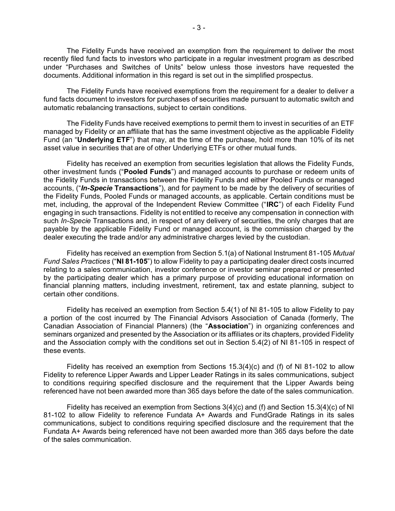The Fidelity Funds have received an exemption from the requirement to deliver the most recently filed fund facts to investors who participate in a regular investment program as described under "Purchases and Switches of Units" below unless those investors have requested the documents. Additional information in this regard is set out in the simplified prospectus.

The Fidelity Funds have received exemptions from the requirement for a dealer to deliver a fund facts document to investors for purchases of securities made pursuant to automatic switch and automatic rebalancing transactions, subject to certain conditions.

The Fidelity Funds have received exemptions to permit them to invest in securities of an ETF managed by Fidelity or an affiliate that has the same investment objective as the applicable Fidelity Fund (an "**Underlying ETF**") that may, at the time of the purchase, hold more than 10% of its net asset value in securities that are of other Underlying ETFs or other mutual funds.

Fidelity has received an exemption from securities legislation that allows the Fidelity Funds, other investment funds ("**Pooled Funds**") and managed accounts to purchase or redeem units of the Fidelity Funds in transactions between the Fidelity Funds and either Pooled Funds or managed accounts, ("*In-Specie* **Transactions**"), and for payment to be made by the delivery of securities of the Fidelity Funds, Pooled Funds or managed accounts, as applicable. Certain conditions must be met, including, the approval of the Independent Review Committee ("**IRC**") of each Fidelity Fund engaging in such transactions. Fidelity is not entitled to receive any compensation in connection with such *In-Specie* Transactions and, in respect of any delivery of securities, the only charges that are payable by the applicable Fidelity Fund or managed account, is the commission charged by the dealer executing the trade and/or any administrative charges levied by the custodian.

Fidelity has received an exemption from Section 5.1(a) of National Instrument 81-105 *Mutual Fund Sales Practices* ("**NI 81-105**") to allow Fidelity to pay a participating dealer direct costs incurred relating to a sales communication, investor conference or investor seminar prepared or presented by the participating dealer which has a primary purpose of providing educational information on financial planning matters, including investment, retirement, tax and estate planning, subject to certain other conditions.

Fidelity has received an exemption from Section 5.4(1) of NI 81-105 to allow Fidelity to pay a portion of the cost incurred by The Financial Advisors Association of Canada (formerly, The Canadian Association of Financial Planners) (the "**Association**") in organizing conferences and seminars organized and presented by the Association or its affiliates or its chapters, provided Fidelity and the Association comply with the conditions set out in Section 5.4(2) of NI 81-105 in respect of these events.

Fidelity has received an exemption from Sections  $15.3(4)(c)$  and (f) of NI 81-102 to allow Fidelity to reference Lipper Awards and Lipper Leader Ratings in its sales communications, subject to conditions requiring specified disclosure and the requirement that the Lipper Awards being referenced have not been awarded more than 365 days before the date of the sales communication.

Fidelity has received an exemption from Sections 3(4)(c) and (f) and Section 15.3(4)(c) of NI 81-102 to allow Fidelity to reference Fundata A+ Awards and FundGrade Ratings in its sales communications, subject to conditions requiring specified disclosure and the requirement that the Fundata A+ Awards being referenced have not been awarded more than 365 days before the date of the sales communication.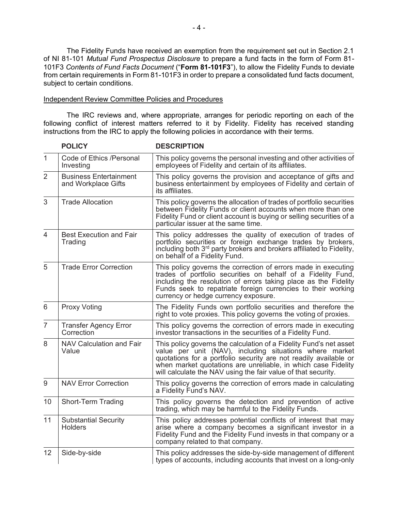The Fidelity Funds have received an exemption from the requirement set out in Section 2.1 of NI 81-101 *Mutual Fund Prospectus Disclosure* to prepare a fund facts in the form of Form 81- 101F3 *Contents of Fund Facts Document* ("**Form 81-101F3**"), to allow the Fidelity Funds to deviate from certain requirements in Form 81-101F3 in order to prepare a consolidated fund facts document, subject to certain conditions.

#### Independent Review Committee Policies and Procedures

The IRC reviews and, where appropriate, arranges for periodic reporting on each of the following conflict of interest matters referred to it by Fidelity. Fidelity has received standing instructions from the IRC to apply the following policies in accordance with their terms.

|                | <b>POLICY</b>                                        | <b>DESCRIPTION</b>                                                                                                                                                                                                                                                                                                                  |
|----------------|------------------------------------------------------|-------------------------------------------------------------------------------------------------------------------------------------------------------------------------------------------------------------------------------------------------------------------------------------------------------------------------------------|
| 1              | Code of Ethics /Personal<br>Investing                | This policy governs the personal investing and other activities of<br>employees of Fidelity and certain of its affiliates.                                                                                                                                                                                                          |
| 2              | <b>Business Entertainment</b><br>and Workplace Gifts | This policy governs the provision and acceptance of gifts and<br>business entertainment by employees of Fidelity and certain of<br>its affiliates.                                                                                                                                                                                  |
| 3              | <b>Trade Allocation</b>                              | This policy governs the allocation of trades of portfolio securities<br>between Fidelity Funds or client accounts when more than one<br>Fidelity Fund or client account is buying or selling securities of a<br>particular issuer at the same time.                                                                                 |
| 4              | <b>Best Execution and Fair</b><br>Trading            | This policy addresses the quality of execution of trades of<br>portfolio securities or foreign exchange trades by brokers,<br>including both 3 <sup>rd</sup> party brokers and brokers affiliated to Fidelity,<br>on behalf of a Fidelity Fund.                                                                                     |
| 5              | <b>Trade Error Correction</b>                        | This policy governs the correction of errors made in executing<br>trades of portfolio securities on behalf of a Fidelity Fund,<br>including the resolution of errors taking place as the Fidelity<br>Funds seek to repatriate foreign currencies to their working<br>currency or hedge currency exposure.                           |
| 6              | <b>Proxy Voting</b>                                  | The Fidelity Funds own portfolio securities and therefore the<br>right to vote proxies. This policy governs the voting of proxies.                                                                                                                                                                                                  |
| $\overline{7}$ | <b>Transfer Agency Error</b><br>Correction           | This policy governs the correction of errors made in executing<br>investor transactions in the securities of a Fidelity Fund.                                                                                                                                                                                                       |
| 8              | <b>NAV Calculation and Fair</b><br>Value             | This policy governs the calculation of a Fidelity Fund's net asset<br>value per unit (NAV), including situations where market<br>quotations for a portfolio security are not readily available or<br>when market quotations are unreliable, in which case Fidelity<br>will calculate the NAV using the fair value of that security. |
| 9              | <b>NAV Error Correction</b>                          | This policy governs the correction of errors made in calculating<br>a Fidelity Fund's NAV.                                                                                                                                                                                                                                          |
| 10             | Short-Term Trading                                   | This policy governs the detection and prevention of active<br>trading, which may be harmful to the Fidelity Funds.                                                                                                                                                                                                                  |
| 11             | <b>Substantial Security</b><br><b>Holders</b>        | This policy addresses potential conflicts of interest that may<br>arise where a company becomes a significant investor in a<br>Fidelity Fund and the Fidelity Fund invests in that company or a<br>company related to that company.                                                                                                 |
| 12             | Side-by-side                                         | This policy addresses the side-by-side management of different<br>types of accounts, including accounts that invest on a long-only                                                                                                                                                                                                  |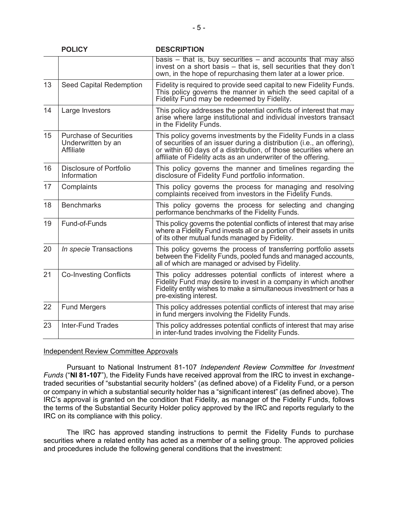|    | <b>POLICY</b>                                                           | <b>DESCRIPTION</b>                                                                                                                                                                                                                                                              |
|----|-------------------------------------------------------------------------|---------------------------------------------------------------------------------------------------------------------------------------------------------------------------------------------------------------------------------------------------------------------------------|
|    |                                                                         | basis $-$ that is, buy securities $-$ and accounts that may also<br>invest on a short basis - that is, sell securities that they don't<br>own, in the hope of repurchasing them later at a lower price.                                                                         |
| 13 | Seed Capital Redemption                                                 | Fidelity is required to provide seed capital to new Fidelity Funds.<br>This policy governs the manner in which the seed capital of a<br>Fidelity Fund may be redeemed by Fidelity.                                                                                              |
| 14 | Large Investors                                                         | This policy addresses the potential conflicts of interest that may<br>arise where large institutional and individual investors transact<br>in the Fidelity Funds.                                                                                                               |
| 15 | <b>Purchase of Securities</b><br>Underwritten by an<br><b>Affiliate</b> | This policy governs investments by the Fidelity Funds in a class<br>of securities of an issuer during a distribution (i.e., an offering),<br>or within 60 days of a distribution, of those securities where an<br>affiliate of Fidelity acts as an underwriter of the offering. |
| 16 | Disclosure of Portfolio<br>Information                                  | This policy governs the manner and timelines regarding the<br>disclosure of Fidelity Fund portfolio information.                                                                                                                                                                |
| 17 | Complaints                                                              | This policy governs the process for managing and resolving<br>complaints received from investors in the Fidelity Funds.                                                                                                                                                         |
| 18 | <b>Benchmarks</b>                                                       | This policy governs the process for selecting and changing<br>performance benchmarks of the Fidelity Funds.                                                                                                                                                                     |
| 19 | Fund-of-Funds                                                           | This policy governs the potential conflicts of interest that may arise<br>where a Fidelity Fund invests all or a portion of their assets in units<br>of its other mutual funds managed by Fidelity.                                                                             |
| 20 | In specie Transactions                                                  | This policy governs the process of transferring portfolio assets<br>between the Fidelity Funds, pooled funds and managed accounts,<br>all of which are managed or advised by Fidelity.                                                                                          |
| 21 | <b>Co-Investing Conflicts</b>                                           | This policy addresses potential conflicts of interest where a<br>Fidelity Fund may desire to invest in a company in which another<br>Fidelity entity wishes to make a simultaneous investment or has a<br>pre-existing interest.                                                |
| 22 | <b>Fund Mergers</b>                                                     | This policy addresses potential conflicts of interest that may arise<br>in fund mergers involving the Fidelity Funds.                                                                                                                                                           |
| 23 | <b>Inter-Fund Trades</b>                                                | This policy addresses potential conflicts of interest that may arise<br>in inter-fund trades involving the Fidelity Funds.                                                                                                                                                      |

## Independent Review Committee Approvals

Pursuant to National Instrument 81-107 *Independent Review Committee for Investment Funds* ("**NI 81-107**"), the Fidelity Funds have received approval from the IRC to invest in exchangetraded securities of "substantial security holders" (as defined above) of a Fidelity Fund, or a person or company in which a substantial security holder has a "significant interest" (as defined above). The IRC's approval is granted on the condition that Fidelity, as manager of the Fidelity Funds, follows the terms of the Substantial Security Holder policy approved by the IRC and reports regularly to the IRC on its compliance with this policy.

The IRC has approved standing instructions to permit the Fidelity Funds to purchase securities where a related entity has acted as a member of a selling group. The approved policies and procedures include the following general conditions that the investment: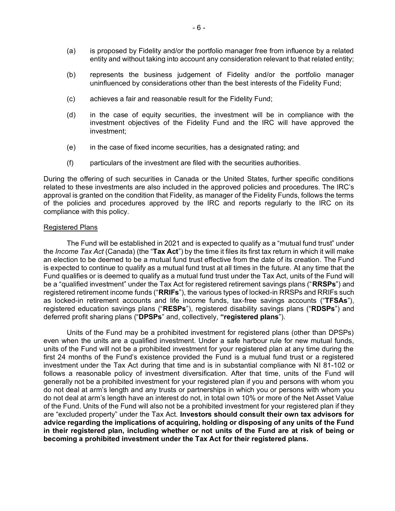- (a) is proposed by Fidelity and/or the portfolio manager free from influence by a related entity and without taking into account any consideration relevant to that related entity;
- (b) represents the business judgement of Fidelity and/or the portfolio manager uninfluenced by considerations other than the best interests of the Fidelity Fund;
- (c) achieves a fair and reasonable result for the Fidelity Fund;
- (d) in the case of equity securities, the investment will be in compliance with the investment objectives of the Fidelity Fund and the IRC will have approved the investment;
- (e) in the case of fixed income securities, has a designated rating; and
- (f) particulars of the investment are filed with the securities authorities.

During the offering of such securities in Canada or the United States, further specific conditions related to these investments are also included in the approved policies and procedures. The IRC's approval is granted on the condition that Fidelity, as manager of the Fidelity Funds, follows the terms of the policies and procedures approved by the IRC and reports regularly to the IRC on its compliance with this policy.

#### Registered Plans

The Fund will be established in 2021 and is expected to qualify as a "mutual fund trust" under the *Income Tax Act* (Canada) (the "**Tax Act**") by the time it files its first tax return in which it will make an election to be deemed to be a mutual fund trust effective from the date of its creation. The Fund is expected to continue to qualify as a mutual fund trust at all times in the future. At any time that the Fund qualifies or is deemed to qualify as a mutual fund trust under the Tax Act, units of the Fund will be a "qualified investment" under the Tax Act for registered retirement savings plans ("**RRSPs**") and registered retirement income funds ("**RRIFs**"), the various types of locked-in RRSPs and RRIFs such as locked-in retirement accounts and life income funds, tax-free savings accounts ("**TFSAs**"), registered education savings plans ("**RESPs**"), registered disability savings plans ("**RDSPs**") and deferred profit sharing plans ("**DPSPs**" and, collectively, **"registered plans**").

Units of the Fund may be a prohibited investment for registered plans (other than DPSPs) even when the units are a qualified investment. Under a safe harbour rule for new mutual funds, units of the Fund will not be a prohibited investment for your registered plan at any time during the first 24 months of the Fund's existence provided the Fund is a mutual fund trust or a registered investment under the Tax Act during that time and is in substantial compliance with NI 81-102 or follows a reasonable policy of investment diversification. After that time, units of the Fund will generally not be a prohibited investment for your registered plan if you and persons with whom you do not deal at arm's length and any trusts or partnerships in which you or persons with whom you do not deal at arm's length have an interest do not, in total own 10% or more of the Net Asset Value of the Fund. Units of the Fund will also not be a prohibited investment for your registered plan if they are "excluded property" under the Tax Act. **Investors should consult their own tax advisors for advice regarding the implications of acquiring, holding or disposing of any units of the Fund in their registered plan, including whether or not units of the Fund are at risk of being or becoming a prohibited investment under the Tax Act for their registered plans.**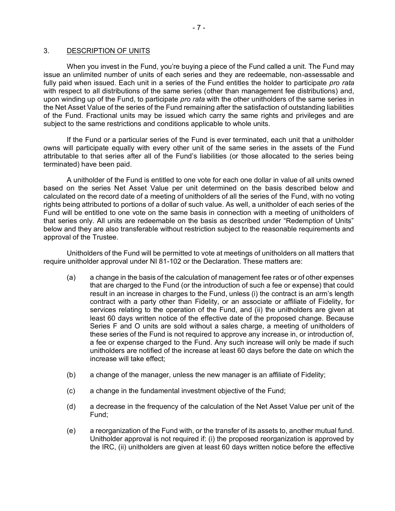## <span id="page-7-0"></span>3. DESCRIPTION OF UNITS

When you invest in the Fund, you're buying a piece of the Fund called a unit. The Fund may issue an unlimited number of units of each series and they are redeemable, non-assessable and fully paid when issued. Each unit in a series of the Fund entitles the holder to participate *pro rata* with respect to all distributions of the same series (other than management fee distributions) and, upon winding up of the Fund, to participate *pro rata* with the other unitholders of the same series in the Net Asset Value of the series of the Fund remaining after the satisfaction of outstanding liabilities of the Fund. Fractional units may be issued which carry the same rights and privileges and are subject to the same restrictions and conditions applicable to whole units.

If the Fund or a particular series of the Fund is ever terminated, each unit that a unitholder owns will participate equally with every other unit of the same series in the assets of the Fund attributable to that series after all of the Fund's liabilities (or those allocated to the series being terminated) have been paid.

A unitholder of the Fund is entitled to one vote for each one dollar in value of all units owned based on the series Net Asset Value per unit determined on the basis described below and calculated on the record date of a meeting of unitholders of all the series of the Fund, with no voting rights being attributed to portions of a dollar of such value. As well, a unitholder of each series of the Fund will be entitled to one vote on the same basis in connection with a meeting of unitholders of that series only. All units are redeemable on the basis as described under "Redemption of Units" below and they are also transferable without restriction subject to the reasonable requirements and approval of the Trustee.

Unitholders of the Fund will be permitted to vote at meetings of unitholders on all matters that require unitholder approval under NI 81-102 or the Declaration. These matters are:

- (a) a change in the basis of the calculation of management fee rates or of other expenses that are charged to the Fund (or the introduction of such a fee or expense) that could result in an increase in charges to the Fund, unless (i) the contract is an arm's length contract with a party other than Fidelity, or an associate or affiliate of Fidelity, for services relating to the operation of the Fund, and (ii) the unitholders are given at least 60 days written notice of the effective date of the proposed change. Because Series F and O units are sold without a sales charge, a meeting of unitholders of these series of the Fund is not required to approve any increase in, or introduction of, a fee or expense charged to the Fund. Any such increase will only be made if such unitholders are notified of the increase at least 60 days before the date on which the increase will take effect;
- (b) a change of the manager, unless the new manager is an affiliate of Fidelity;
- (c) a change in the fundamental investment objective of the Fund;
- (d) a decrease in the frequency of the calculation of the Net Asset Value per unit of the Fund;
- (e) a reorganization of the Fund with, or the transfer of its assets to, another mutual fund. Unitholder approval is not required if: (i) the proposed reorganization is approved by the IRC, (ii) unitholders are given at least 60 days written notice before the effective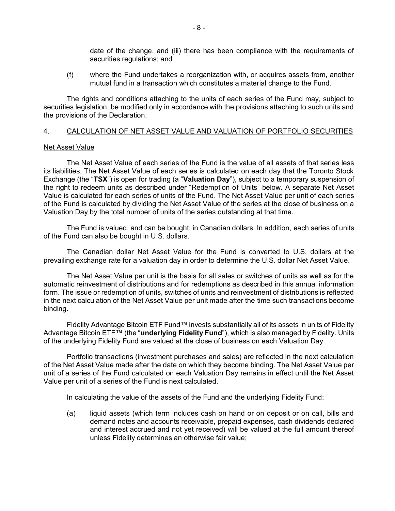<span id="page-8-0"></span>date of the change, and (iii) there has been compliance with the requirements of securities regulations; and

(f) where the Fund undertakes a reorganization with, or acquires assets from, another mutual fund in a transaction which constitutes a material change to the Fund.

The rights and conditions attaching to the units of each series of the Fund may, subject to securities legislation, be modified only in accordance with the provisions attaching to such units and the provisions of the Declaration.

## 4. CALCULATION OF NET ASSET VALUE AND VALUATION OF PORTFOLIO SECURITIES

## Net Asset Value

The Net Asset Value of each series of the Fund is the value of all assets of that series less its liabilities. The Net Asset Value of each series is calculated on each day that the Toronto Stock Exchange (the "**TSX**") is open for trading (a "**Valuation Day**"), subject to a temporary suspension of the right to redeem units as described under "Redemption of Units" below. A separate Net Asset Value is calculated for each series of units of the Fund. The Net Asset Value per unit of each series of the Fund is calculated by dividing the Net Asset Value of the series at the close of business on a Valuation Day by the total number of units of the series outstanding at that time.

The Fund is valued, and can be bought, in Canadian dollars. In addition, each series of units of the Fund can also be bought in U.S. dollars.

The Canadian dollar Net Asset Value for the Fund is converted to U.S. dollars at the prevailing exchange rate for a valuation day in order to determine the U.S. dollar Net Asset Value.

The Net Asset Value per unit is the basis for all sales or switches of units as well as for the automatic reinvestment of distributions and for redemptions as described in this annual information form. The issue or redemption of units, switches of units and reinvestment of distributions is reflected in the next calculation of the Net Asset Value per unit made after the time such transactions become binding.

Fidelity Advantage Bitcoin ETF Fund™ invests substantially all of its assets in units of Fidelity Advantage Bitcoin ETF™ (the "**underlying Fidelity Fund**"), which is also managed by Fidelity. Units of the underlying Fidelity Fund are valued at the close of business on each Valuation Day.

Portfolio transactions (investment purchases and sales) are reflected in the next calculation of the Net Asset Value made after the date on which they become binding. The Net Asset Value per unit of a series of the Fund calculated on each Valuation Day remains in effect until the Net Asset Value per unit of a series of the Fund is next calculated.

In calculating the value of the assets of the Fund and the underlying Fidelity Fund:

(a) liquid assets (which term includes cash on hand or on deposit or on call, bills and demand notes and accounts receivable, prepaid expenses, cash dividends declared and interest accrued and not yet received) will be valued at the full amount thereof unless Fidelity determines an otherwise fair value;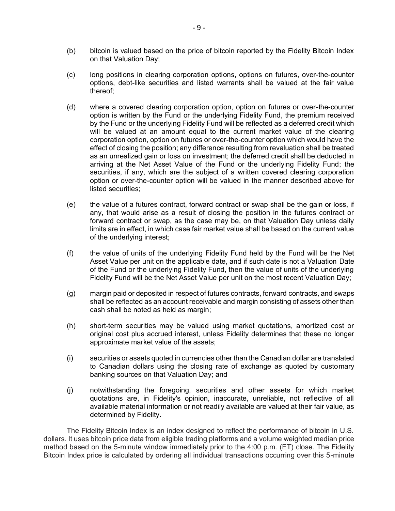- (b) bitcoin is valued based on the price of bitcoin reported by the Fidelity Bitcoin Index on that Valuation Day;
- (c) long positions in clearing corporation options, options on futures, over-the-counter options, debt-like securities and listed warrants shall be valued at the fair value thereof;
- (d) where a covered clearing corporation option, option on futures or over-the-counter option is written by the Fund or the underlying Fidelity Fund, the premium received by the Fund or the underlying Fidelity Fund will be reflected as a deferred credit which will be valued at an amount equal to the current market value of the clearing corporation option, option on futures or over-the-counter option which would have the effect of closing the position; any difference resulting from revaluation shall be treated as an unrealized gain or loss on investment; the deferred credit shall be deducted in arriving at the Net Asset Value of the Fund or the underlying Fidelity Fund; the securities, if any, which are the subject of a written covered clearing corporation option or over-the-counter option will be valued in the manner described above for listed securities;
- (e) the value of a futures contract, forward contract or swap shall be the gain or loss, if any, that would arise as a result of closing the position in the futures contract or forward contract or swap, as the case may be, on that Valuation Day unless daily limits are in effect, in which case fair market value shall be based on the current value of the underlying interest;
- (f) the value of units of the underlying Fidelity Fund held by the Fund will be the Net Asset Value per unit on the applicable date, and if such date is not a Valuation Date of the Fund or the underlying Fidelity Fund, then the value of units of the underlying Fidelity Fund will be the Net Asset Value per unit on the most recent Valuation Day;
- (g) margin paid or deposited in respect of futures contracts, forward contracts, and swaps shall be reflected as an account receivable and margin consisting of assets other than cash shall be noted as held as margin;
- (h) short-term securities may be valued using market quotations, amortized cost or original cost plus accrued interest, unless Fidelity determines that these no longer approximate market value of the assets;
- (i) securities or assets quoted in currencies other than the Canadian dollar are translated to Canadian dollars using the closing rate of exchange as quoted by customary banking sources on that Valuation Day; and
- (j) notwithstanding the foregoing, securities and other assets for which market quotations are, in Fidelity's opinion, inaccurate, unreliable, not reflective of all available material information or not readily available are valued at their fair value, as determined by Fidelity.

The Fidelity Bitcoin Index is an index designed to reflect the performance of bitcoin in U.S. dollars. It uses bitcoin price data from eligible trading platforms and a volume weighted median price method based on the 5-minute window immediately prior to the 4:00 p.m. (ET) close. The Fidelity Bitcoin Index price is calculated by ordering all individual transactions occurring over this 5-minute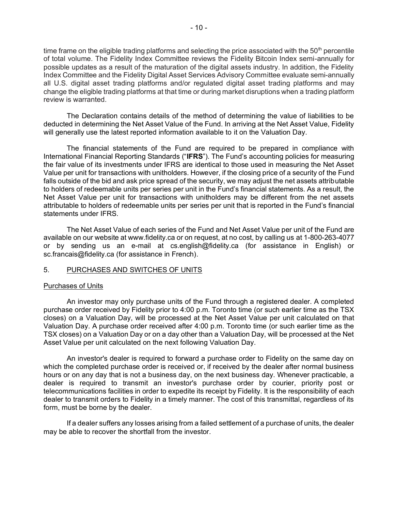time frame on the eligible trading platforms and selecting the price associated with the  $50<sup>th</sup>$  percentile of total volume. The Fidelity Index Committee reviews the Fidelity Bitcoin Index semi-annually for possible updates as a result of the maturation of the digital assets industry. In addition, the Fidelity Index Committee and the Fidelity Digital Asset Services Advisory Committee evaluate semi-annually all U.S. digital asset trading platforms and/or regulated digital asset trading platforms and may change the eligible trading platforms at that time or during market disruptions when a trading platform review is warranted.

The Declaration contains details of the method of determining the value of liabilities to be deducted in determining the Net Asset Value of the Fund. In arriving at the Net Asset Value, Fidelity will generally use the latest reported information available to it on the Valuation Day.

The financial statements of the Fund are required to be prepared in compliance with International Financial Reporting Standards ("**IFRS**"). The Fund's accounting policies for measuring the fair value of its investments under IFRS are identical to those used in measuring the Net Asset Value per unit for transactions with unitholders. However, if the closing price of a security of the Fund falls outside of the bid and ask price spread of the security, we may adjust the net assets attributable to holders of redeemable units per series per unit in the Fund's financial statements. As a result, the Net Asset Value per unit for transactions with unitholders may be different from the net assets attributable to holders of redeemable units per series per unit that is reported in the Fund's financial statements under IFRS.

The Net Asset Value of each series of the Fund and Net Asset Value per unit of the Fund are available on our website at www.fidelity.ca or on request, at no cost, by calling us at 1-800-263-4077 or by sending us an e-mail at cs.english@fidelity.ca (for assistance in English) or sc.francais@fidelity.ca (for assistance in French).

## <span id="page-10-0"></span>5. PURCHASES AND SWITCHES OF UNITS

## Purchases of Units

An investor may only purchase units of the Fund through a registered dealer. A completed purchase order received by Fidelity prior to 4:00 p.m. Toronto time (or such earlier time as the TSX closes) on a Valuation Day, will be processed at the Net Asset Value per unit calculated on that Valuation Day. A purchase order received after 4:00 p.m. Toronto time (or such earlier time as the TSX closes) on a Valuation Day or on a day other than a Valuation Day, will be processed at the Net Asset Value per unit calculated on the next following Valuation Day.

An investor's dealer is required to forward a purchase order to Fidelity on the same day on which the completed purchase order is received or, if received by the dealer after normal business hours or on any day that is not a business day, on the next business day. Whenever practicable, a dealer is required to transmit an investor's purchase order by courier, priority post or telecommunications facilities in order to expedite its receipt by Fidelity. It is the responsibility of each dealer to transmit orders to Fidelity in a timely manner. The cost of this transmittal, regardless of its form, must be borne by the dealer.

If a dealer suffers any losses arising from a failed settlement of a purchase of units, the dealer may be able to recover the shortfall from the investor.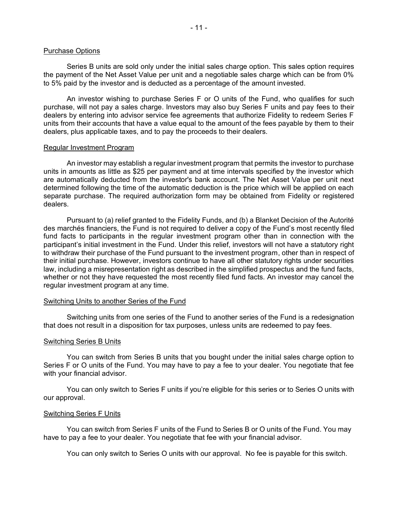#### Purchase Options

Series B units are sold only under the initial sales charge option. This sales option requires the payment of the Net Asset Value per unit and a negotiable sales charge which can be from 0% to 5% paid by the investor and is deducted as a percentage of the amount invested.

An investor wishing to purchase Series F or O units of the Fund, who qualifies for such purchase, will not pay a sales charge. Investors may also buy Series F units and pay fees to their dealers by entering into advisor service fee agreements that authorize Fidelity to redeem Series F units from their accounts that have a value equal to the amount of the fees payable by them to their dealers, plus applicable taxes, and to pay the proceeds to their dealers.

#### Regular Investment Program

An investor may establish a regular investment program that permits the investor to purchase units in amounts as little as \$25 per payment and at time intervals specified by the investor which are automatically deducted from the investor's bank account. The Net Asset Value per unit next determined following the time of the automatic deduction is the price which will be applied on each separate purchase. The required authorization form may be obtained from Fidelity or registered dealers.

Pursuant to (a) relief granted to the Fidelity Funds, and (b) a Blanket Decision of the Autorité des marchés financiers, the Fund is not required to deliver a copy of the Fund's most recently filed fund facts to participants in the regular investment program other than in connection with the participant's initial investment in the Fund. Under this relief, investors will not have a statutory right to withdraw their purchase of the Fund pursuant to the investment program, other than in respect of their initial purchase. However, investors continue to have all other statutory rights under securities law, including a misrepresentation right as described in the simplified prospectus and the fund facts, whether or not they have requested the most recently filed fund facts. An investor may cancel the regular investment program at any time.

## Switching Units to another Series of the Fund

Switching units from one series of the Fund to another series of the Fund is a redesignation that does not result in a disposition for tax purposes, unless units are redeemed to pay fees.

#### Switching Series B Units

You can switch from Series B units that you bought under the initial sales charge option to Series F or O units of the Fund. You may have to pay a fee to your dealer. You negotiate that fee with your financial advisor.

You can only switch to Series F units if you're eligible for this series or to Series O units with our approval.

## Switching Series F Units

You can switch from Series F units of the Fund to Series B or O units of the Fund. You may have to pay a fee to your dealer. You negotiate that fee with your financial advisor.

You can only switch to Series O units with our approval. No fee is payable for this switch.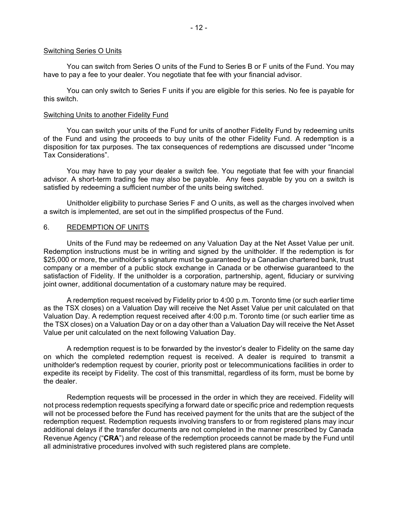#### Switching Series O Units

You can switch from Series O units of the Fund to Series B or F units of the Fund. You may have to pay a fee to your dealer. You negotiate that fee with your financial advisor.

You can only switch to Series F units if you are eligible for this series. No fee is payable for this switch.

#### Switching Units to another Fidelity Fund

You can switch your units of the Fund for units of another Fidelity Fund by redeeming units of the Fund and using the proceeds to buy units of the other Fidelity Fund. A redemption is a disposition for tax purposes. The tax consequences of redemptions are discussed under "Income Tax Considerations".

You may have to pay your dealer a switch fee. You negotiate that fee with your financial advisor. A short-term trading fee may also be payable. Any fees payable by you on a switch is satisfied by redeeming a sufficient number of the units being switched.

Unitholder eligibility to purchase Series F and O units, as well as the charges involved when a switch is implemented, are set out in the simplified prospectus of the Fund.

#### <span id="page-12-0"></span>6. REDEMPTION OF UNITS

Units of the Fund may be redeemed on any Valuation Day at the Net Asset Value per unit. Redemption instructions must be in writing and signed by the unitholder. If the redemption is for \$25,000 or more, the unitholder's signature must be guaranteed by a Canadian chartered bank, trust company or a member of a public stock exchange in Canada or be otherwise guaranteed to the satisfaction of Fidelity. If the unitholder is a corporation, partnership, agent, fiduciary or surviving joint owner, additional documentation of a customary nature may be required.

A redemption request received by Fidelity prior to 4:00 p.m. Toronto time (or such earlier time as the TSX closes) on a Valuation Day will receive the Net Asset Value per unit calculated on that Valuation Day. A redemption request received after 4:00 p.m. Toronto time (or such earlier time as the TSX closes) on a Valuation Day or on a day other than a Valuation Day will receive the Net Asset Value per unit calculated on the next following Valuation Day.

A redemption request is to be forwarded by the investor's dealer to Fidelity on the same day on which the completed redemption request is received. A dealer is required to transmit a unitholder's redemption request by courier, priority post or telecommunications facilities in order to expedite its receipt by Fidelity. The cost of this transmittal, regardless of its form, must be borne by the dealer.

Redemption requests will be processed in the order in which they are received. Fidelity will not process redemption requests specifying a forward date or specific price and redemption requests will not be processed before the Fund has received payment for the units that are the subject of the redemption request. Redemption requests involving transfers to or from registered plans may incur additional delays if the transfer documents are not completed in the manner prescribed by Canada Revenue Agency ("**CRA**") and release of the redemption proceeds cannot be made by the Fund until all administrative procedures involved with such registered plans are complete.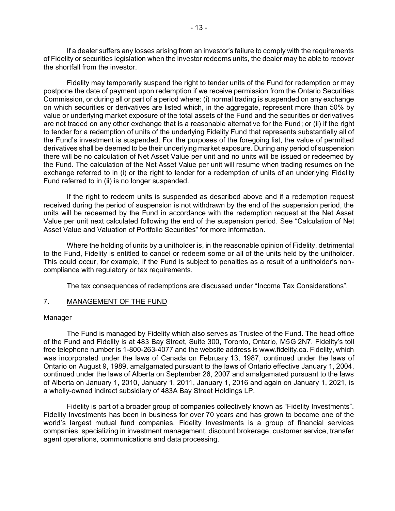If a dealer suffers any losses arising from an investor's failure to comply with the requirements of Fidelity or securities legislation when the investor redeems units, the dealer may be able to recover the shortfall from the investor.

Fidelity may temporarily suspend the right to tender units of the Fund for redemption or may postpone the date of payment upon redemption if we receive permission from the Ontario Securities Commission, or during all or part of a period where: (i) normal trading is suspended on any exchange on which securities or derivatives are listed which, in the aggregate, represent more than 50% by value or underlying market exposure of the total assets of the Fund and the securities or derivatives are not traded on any other exchange that is a reasonable alternative for the Fund; or (ii) if the right to tender for a redemption of units of the underlying Fidelity Fund that represents substantially all of the Fund's investment is suspended. For the purposes of the foregoing list, the value of permitted derivatives shall be deemed to be their underlying market exposure. During any period of suspension there will be no calculation of Net Asset Value per unit and no units will be issued or redeemed by the Fund. The calculation of the Net Asset Value per unit will resume when trading resumes on the exchange referred to in (i) or the right to tender for a redemption of units of an underlying Fidelity Fund referred to in (ii) is no longer suspended.

If the right to redeem units is suspended as described above and if a redemption request received during the period of suspension is not withdrawn by the end of the suspension period, the units will be redeemed by the Fund in accordance with the redemption request at the Net Asset Value per unit next calculated following the end of the suspension period. See "Calculation of Net Asset Value and Valuation of Portfolio Securities" for more information.

Where the holding of units by a unitholder is, in the reasonable opinion of Fidelity, detrimental to the Fund, Fidelity is entitled to cancel or redeem some or all of the units held by the unitholder. This could occur, for example, if the Fund is subject to penalties as a result of a unitholder's noncompliance with regulatory or tax requirements.

<span id="page-13-0"></span>The tax consequences of redemptions are discussed under "Income Tax Considerations".

## 7. MANAGEMENT OF THE FUND

## Manager

The Fund is managed by Fidelity which also serves as Trustee of the Fund. The head office of the Fund and Fidelity is at 483 Bay Street, Suite 300, Toronto, Ontario, M5G 2N7. Fidelity's toll free telephone number is 1-800-263-4077 and the website address is www.fidelity.ca. Fidelity, which was incorporated under the laws of Canada on February 13, 1987, continued under the laws of Ontario on August 9, 1989, amalgamated pursuant to the laws of Ontario effective January 1, 2004, continued under the laws of Alberta on September 26, 2007 and amalgamated pursuant to the laws of Alberta on January 1, 2010, January 1, 2011, January 1, 2016 and again on January 1, 2021, is a wholly-owned indirect subsidiary of 483A Bay Street Holdings LP.

Fidelity is part of a broader group of companies collectively known as "Fidelity Investments". Fidelity Investments has been in business for over 70 years and has grown to become one of the world's largest mutual fund companies. Fidelity Investments is a group of financial services companies, specializing in investment management, discount brokerage, customer service, transfer agent operations, communications and data processing.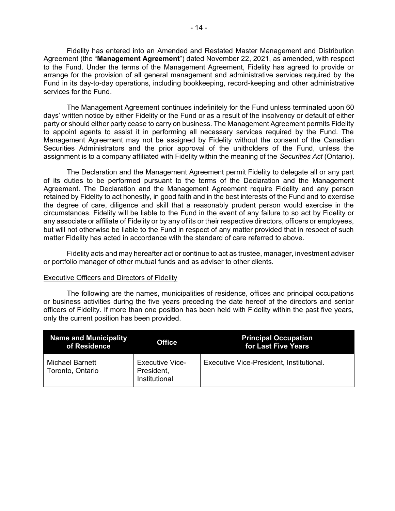Fidelity has entered into an Amended and Restated Master Management and Distribution Agreement (the "**Management Agreement**") dated November 22, 2021, as amended, with respect to the Fund. Under the terms of the Management Agreement, Fidelity has agreed to provide or arrange for the provision of all general management and administrative services required by the Fund in its day-to-day operations, including bookkeeping, record-keeping and other administrative services for the Fund.

The Management Agreement continues indefinitely for the Fund unless terminated upon 60 days' written notice by either Fidelity or the Fund or as a result of the insolvency or default of either party or should either party cease to carry on business. The Management Agreement permits Fidelity to appoint agents to assist it in performing all necessary services required by the Fund. The Management Agreement may not be assigned by Fidelity without the consent of the Canadian Securities Administrators and the prior approval of the unitholders of the Fund, unless the assignment is to a company affiliated with Fidelity within the meaning of the *Securities Act* (Ontario).

The Declaration and the Management Agreement permit Fidelity to delegate all or any part of its duties to be performed pursuant to the terms of the Declaration and the Management Agreement. The Declaration and the Management Agreement require Fidelity and any person retained by Fidelity to act honestly, in good faith and in the best interests of the Fund and to exercise the degree of care, diligence and skill that a reasonably prudent person would exercise in the circumstances. Fidelity will be liable to the Fund in the event of any failure to so act by Fidelity or any associate or affiliate of Fidelity or by any of its or their respective directors, officers or employees, but will not otherwise be liable to the Fund in respect of any matter provided that in respect of such matter Fidelity has acted in accordance with the standard of care referred to above.

Fidelity acts and may hereafter act or continue to act as trustee, manager, investment adviser or portfolio manager of other mutual funds and as adviser to other clients.

#### Executive Officers and Directors of Fidelity

The following are the names, municipalities of residence, offices and principal occupations or business activities during the five years preceding the date hereof of the directors and senior officers of Fidelity. If more than one position has been held with Fidelity within the past five years, only the current position has been provided.

| Name and Municipality<br>of Residence      | <b>Office</b>                                         | <b>Principal Occupation</b><br>for Last Five Years |
|--------------------------------------------|-------------------------------------------------------|----------------------------------------------------|
| <b>Michael Barnett</b><br>Toronto, Ontario | <b>Executive Vice-</b><br>President,<br>Institutional | Executive Vice-President, Institutional.           |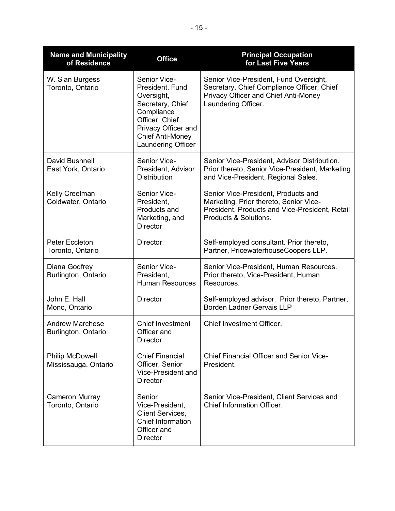| <b>Name and Municipality</b><br>of Residence   | <b>Office</b>                                                                                                                                                             | <b>Principal Occupation</b><br>for Last Five Years                                                                                                       |
|------------------------------------------------|---------------------------------------------------------------------------------------------------------------------------------------------------------------------------|----------------------------------------------------------------------------------------------------------------------------------------------------------|
| W. Sian Burgess<br>Toronto, Ontario            | Senior Vice-<br>President, Fund<br>Oversight,<br>Secretary, Chief<br>Compliance<br>Officer, Chief<br>Privacy Officer and<br><b>Chief Anti-Money</b><br>Laundering Officer | Senior Vice-President, Fund Oversight,<br>Secretary, Chief Compliance Officer, Chief<br>Privacy Officer and Chief Anti-Money<br>Laundering Officer.      |
| David Bushnell<br>East York, Ontario           | Senior Vice-<br>President, Advisor<br><b>Distribution</b>                                                                                                                 | Senior Vice-President, Advisor Distribution.<br>Prior thereto, Senior Vice-President, Marketing<br>and Vice-President, Regional Sales.                   |
| Kelly Creelman<br>Coldwater, Ontario           | Senior Vice-<br>President,<br>Products and<br>Marketing, and<br><b>Director</b>                                                                                           | Senior Vice-President, Products and<br>Marketing. Prior thereto, Senior Vice-<br>President, Products and Vice-President, Retail<br>Products & Solutions. |
| Peter Eccleton<br>Toronto, Ontario             | <b>Director</b>                                                                                                                                                           | Self-employed consultant. Prior thereto,<br>Partner, PricewaterhouseCoopers LLP.                                                                         |
| Diana Godfrey<br>Burlington, Ontario           | Senior Vice-<br>President,<br><b>Human Resources</b>                                                                                                                      | Senior Vice-President, Human Resources.<br>Prior thereto, Vice-President, Human<br>Resources.                                                            |
| John E. Hall<br>Mono, Ontario                  | <b>Director</b>                                                                                                                                                           | Self-employed advisor. Prior thereto, Partner,<br><b>Borden Ladner Gervais LLP</b>                                                                       |
| <b>Andrew Marchese</b><br>Burlington, Ontario  | <b>Chief Investment</b><br>Officer and<br><b>Director</b>                                                                                                                 | Chief Investment Officer.                                                                                                                                |
| <b>Philip McDowell</b><br>Mississauga, Ontario | <b>Chief Financial</b><br>Officer, Senior<br>Vice-President and<br><b>Director</b>                                                                                        | <b>Chief Financial Officer and Senior Vice-</b><br>President.                                                                                            |
| <b>Cameron Murray</b><br>Toronto, Ontario      | Senior<br>Vice-President,<br><b>Client Services,</b><br><b>Chief Information</b><br>Officer and<br><b>Director</b>                                                        | Senior Vice-President, Client Services and<br>Chief Information Officer.                                                                                 |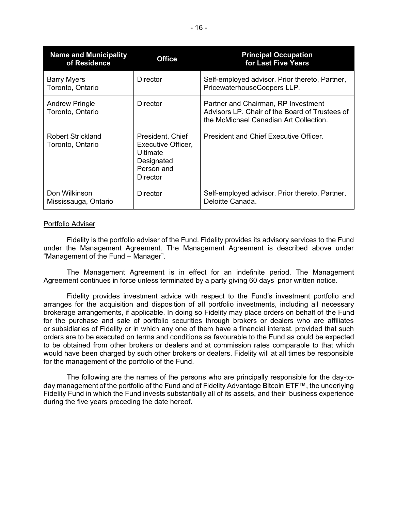| <b>Name and Municipality</b><br>of Residence | <b>Office</b>                                                                                            | <b>Principal Occupation</b><br>for Last Five Years                                                                              |
|----------------------------------------------|----------------------------------------------------------------------------------------------------------|---------------------------------------------------------------------------------------------------------------------------------|
| <b>Barry Myers</b><br>Toronto, Ontario       | <b>Director</b>                                                                                          | Self-employed advisor. Prior thereto, Partner,<br>PricewaterhouseCoopers LLP.                                                   |
| <b>Andrew Pringle</b><br>Toronto, Ontario    | <b>Director</b>                                                                                          | Partner and Chairman, RP Investment<br>Advisors LP. Chair of the Board of Trustees of<br>the McMichael Canadian Art Collection. |
| <b>Robert Strickland</b><br>Toronto, Ontario | President, Chief<br>Executive Officer,<br><b>Ultimate</b><br>Designated<br>Person and<br><b>Director</b> | President and Chief Executive Officer.                                                                                          |
| Don Wilkinson<br>Mississauga, Ontario        | <b>Director</b>                                                                                          | Self-employed advisor. Prior thereto, Partner,<br>Deloitte Canada.                                                              |

## Portfolio Adviser

Fidelity is the portfolio adviser of the Fund. Fidelity provides its advisory services to the Fund under the Management Agreement. The Management Agreement is described above under "Management of the Fund – Manager".

The Management Agreement is in effect for an indefinite period. The Management Agreement continues in force unless terminated by a party giving 60 days' prior written notice.

Fidelity provides investment advice with respect to the Fund's investment portfolio and arranges for the acquisition and disposition of all portfolio investments, including all necessary brokerage arrangements, if applicable. In doing so Fidelity may place orders on behalf of the Fund for the purchase and sale of portfolio securities through brokers or dealers who are affiliates or subsidiaries of Fidelity or in which any one of them have a financial interest, provided that such orders are to be executed on terms and conditions as favourable to the Fund as could be expected to be obtained from other brokers or dealers and at commission rates comparable to that which would have been charged by such other brokers or dealers. Fidelity will at all times be responsible for the management of the portfolio of the Fund.

The following are the names of the persons who are principally responsible for the day-today management of the portfolio of the Fund and of Fidelity Advantage Bitcoin ETF™, the underlying Fidelity Fund in which the Fund invests substantially all of its assets, and their business experience during the five years preceding the date hereof.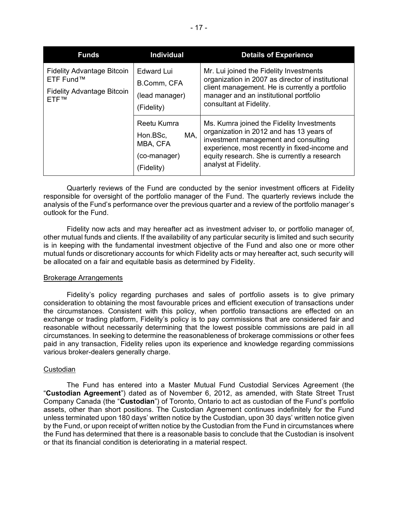| <b>Funds</b>                                                                                             | <b>Individual</b>                                                        | <b>Details of Experience</b>                                                                                                                                                                                                                           |
|----------------------------------------------------------------------------------------------------------|--------------------------------------------------------------------------|--------------------------------------------------------------------------------------------------------------------------------------------------------------------------------------------------------------------------------------------------------|
| <b>Fidelity Advantage Bitcoin</b><br>ETF Fund™<br><b>Fidelity Advantage Bitcoin</b><br>FTF <sub>TM</sub> | <b>Edward Lui</b><br>B.Comm, CFA<br>(lead manager)<br>(Fidelity)         | Mr. Lui joined the Fidelity Investments<br>organization in 2007 as director of institutional<br>client management. He is currently a portfolio<br>manager and an institutional portfolio<br>consultant at Fidelity.                                    |
|                                                                                                          | Reetu Kumra<br>MA,<br>Hon.BSc,<br>MBA, CFA<br>(co-manager)<br>(Fidelity) | Ms. Kumra joined the Fidelity Investments<br>organization in 2012 and has 13 years of<br>investment management and consulting<br>experience, most recently in fixed-income and<br>equity research. She is currently a research<br>analyst at Fidelity. |

Quarterly reviews of the Fund are conducted by the senior investment officers at Fidelity responsible for oversight of the portfolio manager of the Fund. The quarterly reviews include the analysis of the Fund's performance over the previous quarter and a review of the portfolio manager's outlook for the Fund.

Fidelity now acts and may hereafter act as investment adviser to, or portfolio manager of, other mutual funds and clients. If the availability of any particular security is limited and such security is in keeping with the fundamental investment objective of the Fund and also one or more other mutual funds or discretionary accounts for which Fidelity acts or may hereafter act, such security will be allocated on a fair and equitable basis as determined by Fidelity.

## Brokerage Arrangements

Fidelity's policy regarding purchases and sales of portfolio assets is to give primary consideration to obtaining the most favourable prices and efficient execution of transactions under the circumstances. Consistent with this policy, when portfolio transactions are effected on an exchange or trading platform, Fidelity's policy is to pay commissions that are considered fair and reasonable without necessarily determining that the lowest possible commissions are paid in all circumstances. In seeking to determine the reasonableness of brokerage commissions or other fees paid in any transaction, Fidelity relies upon its experience and knowledge regarding commissions various broker-dealers generally charge.

## Custodian

The Fund has entered into a Master Mutual Fund Custodial Services Agreement (the "**Custodian Agreement**") dated as of November 6, 2012, as amended, with State Street Trust Company Canada (the "**Custodian**") of Toronto, Ontario to act as custodian of the Fund's portfolio assets, other than short positions. The Custodian Agreement continues indefinitely for the Fund unless terminated upon 180 days' written notice by the Custodian, upon 30 days' written notice given by the Fund, or upon receipt of written notice by the Custodian from the Fund in circumstances where the Fund has determined that there is a reasonable basis to conclude that the Custodian is insolvent or that its financial condition is deteriorating in a material respect.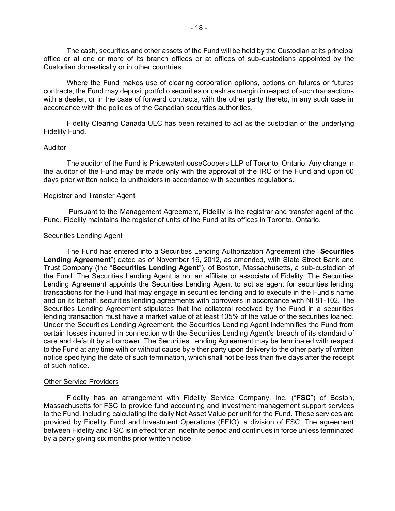The cash, securities and other assets of the Fund will be held by the Custodian at its principal office or at one or more of its branch offices or at offices of sub-custodians appointed by the Custodian domestically or in other countries.

Where the Fund makes use of clearing corporation options, options on futures or futures contracts, the Fund may deposit portfolio securities or cash as margin in respect of such transactions with a dealer, or in the case of forward contracts, with the other party thereto, in any such case in accordance with the policies of the Canadian securities authorities.

Fidelity Clearing Canada ULC has been retained to act as the custodian of the underlying Fidelity Fund.

#### Auditor

The auditor of the Fund is PricewaterhouseCoopers LLP of Toronto, Ontario. Any change in the auditor of the Fund may be made only with the approval of the IRC of the Fund and upon 60 days prior written notice to unitholders in accordance with securities regulations.

#### Registrar and Transfer Agent

Pursuant to the Management Agreement, Fidelity is the registrar and transfer agent of the Fund. Fidelity maintains the register of units of the Fund at its offices in Toronto, Ontario.

#### Securities Lending Agent

The Fund has entered into a Securities Lending Authorization Agreement (the "**Securities Lending Agreement**") dated as of November 16, 2012, as amended, with State Street Bank and Trust Company (the "**Securities Lending Agent**"), of Boston, Massachusetts, a sub-custodian of the Fund. The Securities Lending Agent is not an affiliate or associate of Fidelity. The Securities Lending Agreement appoints the Securities Lending Agent to act as agent for securities lending transactions for the Fund that may engage in securities lending and to execute in the Fund's name and on its behalf, securities lending agreements with borrowers in accordance with NI 81-102. The Securities Lending Agreement stipulates that the collateral received by the Fund in a securities lending transaction must have a market value of at least 105% of the value of the securities loaned. Under the Securities Lending Agreement, the Securities Lending Agent indemnifies the Fund from certain losses incurred in connection with the Securities Lending Agent's breach of its standard of care and default by a borrower. The Securities Lending Agreement may be terminated with respect to the Fund at any time with or without cause by either party upon delivery to the other party of written notice specifying the date of such termination, which shall not be less than five days after the receipt of such notice.

## **Other Service Providers**

Fidelity has an arrangement with Fidelity Service Company, Inc. ("**FSC**") of Boston, Massachusetts for FSC to provide fund accounting and investment management support services to the Fund, including calculating the daily Net Asset Value per unit for the Fund. These services are provided by Fidelity Fund and Investment Operations (FFIO), a division of FSC. The agreement between Fidelity and FSC is in effect for an indefinite period and continues in force unless terminated by a party giving six months prior written notice.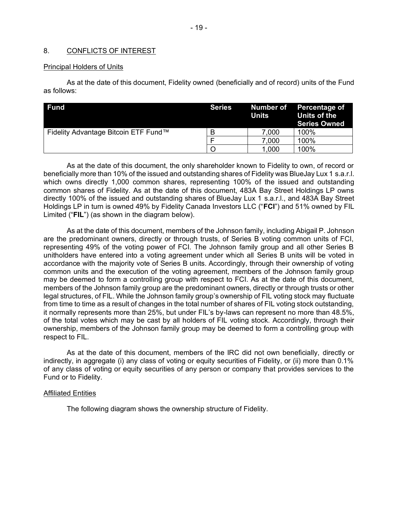## <span id="page-19-0"></span>8. CONFLICTS OF INTEREST

## Principal Holders of Units

As at the date of this document, Fidelity owned (beneficially and of record) units of the Fund as follows:

| <b>Fund</b>                          | <b>Series</b> | Number of<br>Units | Percentage of<br>Units of the<br><b>Series Owned</b> |
|--------------------------------------|---------------|--------------------|------------------------------------------------------|
| Fidelity Advantage Bitcoin ETF Fund™ | B             | 7,000              | 100%                                                 |
|                                      |               | 7,000              | 100%                                                 |
|                                      |               | 1,000              | 100%                                                 |

As at the date of this document, the only shareholder known to Fidelity to own, of record or beneficially more than 10% of the issued and outstanding shares of Fidelity was BlueJay Lux 1 s.a.r.l. which owns directly 1,000 common shares, representing 100% of the issued and outstanding common shares of Fidelity. As at the date of this document, 483A Bay Street Holdings LP owns directly 100% of the issued and outstanding shares of BlueJay Lux 1 s.a.r.l., and 483A Bay Street Holdings LP in turn is owned 49% by Fidelity Canada Investors LLC ("**FCI**") and 51% owned by FIL Limited ("**FIL**") (as shown in the diagram below).

As at the date of this document, members of the Johnson family, including Abigail P. Johnson are the predominant owners, directly or through trusts, of Series B voting common units of FCI, representing 49% of the voting power of FCI. The Johnson family group and all other Series B unitholders have entered into a voting agreement under which all Series B units will be voted in accordance with the majority vote of Series B units. Accordingly, through their ownership of voting common units and the execution of the voting agreement, members of the Johnson family group may be deemed to form a controlling group with respect to FCI. As at the date of this document, members of the Johnson family group are the predominant owners, directly or through trusts or other legal structures, of FIL. While the Johnson family group's ownership of FIL voting stock may fluctuate from time to time as a result of changes in the total number of shares of FIL voting stock outstanding, it normally represents more than 25%, but under FIL's by-laws can represent no more than 48.5%, of the total votes which may be cast by all holders of FIL voting stock. Accordingly, through their ownership, members of the Johnson family group may be deemed to form a controlling group with respect to FIL.

As at the date of this document, members of the IRC did not own beneficially, directly or indirectly, in aggregate (i) any class of voting or equity securities of Fidelity, or (ii) more than 0.1% of any class of voting or equity securities of any person or company that provides services to the Fund or to Fidelity.

## Affiliated Entities

The following diagram shows the ownership structure of Fidelity.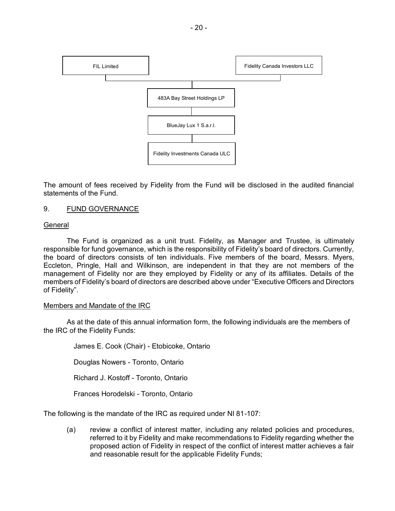

The amount of fees received by Fidelity from the Fund will be disclosed in the audited financial statements of the Fund.

## <span id="page-20-0"></span>9. FUND GOVERNANCE

## **General**

The Fund is organized as a unit trust. Fidelity, as Manager and Trustee, is ultimately responsible for fund governance, which is the responsibility of Fidelity's board of directors. Currently, the board of directors consists of ten individuals. Five members of the board, Messrs. Myers, Eccleton, Pringle, Hall and Wilkinson, are independent in that they are not members of the management of Fidelity nor are they employed by Fidelity or any of its affiliates. Details of the members of Fidelity's board of directors are described above under "Executive Officers and Directors of Fidelity".

## Members and Mandate of the IRC

As at the date of this annual information form, the following individuals are the members of the IRC of the Fidelity Funds:

James E. Cook (Chair) - Etobicoke, Ontario Douglas Nowers - Toronto, Ontario Richard J. Kostoff - Toronto, Ontario

Frances Horodelski - Toronto, Ontario

The following is the mandate of the IRC as required under NI 81-107:

(a) review a conflict of interest matter, including any related policies and procedures, referred to it by Fidelity and make recommendations to Fidelity regarding whether the proposed action of Fidelity in respect of the conflict of interest matter achieves a fair and reasonable result for the applicable Fidelity Funds;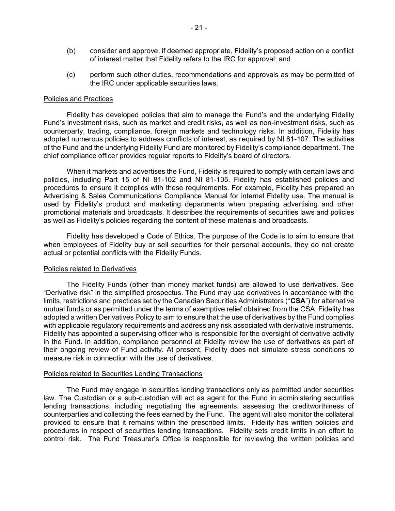- (b) consider and approve, if deemed appropriate, Fidelity's proposed action on a conflict of interest matter that Fidelity refers to the IRC for approval; and
- (c) perform such other duties, recommendations and approvals as may be permitted of the IRC under applicable securities laws.

#### Policies and Practices

Fidelity has developed policies that aim to manage the Fund's and the underlying Fidelity Fund's investment risks, such as market and credit risks, as well as non-investment risks, such as counterparty, trading, compliance, foreign markets and technology risks. In addition, Fidelity has adopted numerous policies to address conflicts of interest, as required by NI 81-107. The activities of the Fund and the underlying Fidelity Fund are monitored by Fidelity's compliance department. The chief compliance officer provides regular reports to Fidelity's board of directors.

When it markets and advertises the Fund, Fidelity is required to comply with certain laws and policies, including Part 15 of NI 81-102 and NI 81-105. Fidelity has established policies and procedures to ensure it complies with these requirements. For example, Fidelity has prepared an Advertising & Sales Communications Compliance Manual for internal Fidelity use. The manual is used by Fidelity's product and marketing departments when preparing advertising and other promotional materials and broadcasts. It describes the requirements of securities laws and policies as well as Fidelity's policies regarding the content of these materials and broadcasts.

Fidelity has developed a Code of Ethics. The purpose of the Code is to aim to ensure that when employees of Fidelity buy or sell securities for their personal accounts, they do not create actual or potential conflicts with the Fidelity Funds.

## Policies related to Derivatives

The Fidelity Funds (other than money market funds) are allowed to use derivatives. See "Derivative risk" in the simplified prospectus. The Fund may use derivatives in accordance with the limits, restrictions and practices set by the Canadian Securities Administrators ("**CSA**") for alternative mutual funds or as permitted under the terms of exemptive relief obtained from the CSA. Fidelity has adopted a written Derivatives Policy to aim to ensure that the use of derivatives by the Fund complies with applicable regulatory requirements and address any risk associated with derivative instruments. Fidelity has appointed a supervising officer who is responsible for the oversight of derivative activity in the Fund. In addition, compliance personnel at Fidelity review the use of derivatives as part of their ongoing review of Fund activity. At present, Fidelity does not simulate stress conditions to measure risk in connection with the use of derivatives.

#### Policies related to Securities Lending Transactions

The Fund may engage in securities lending transactions only as permitted under securities law. The Custodian or a sub-custodian will act as agent for the Fund in administering securities lending transactions, including negotiating the agreements, assessing the creditworthiness of counterparties and collecting the fees earned by the Fund. The agent will also monitor the collateral provided to ensure that it remains within the prescribed limits. Fidelity has written policies and procedures in respect of securities lending transactions. Fidelity sets credit limits in an effort to control risk. The Fund Treasurer's Office is responsible for reviewing the written policies and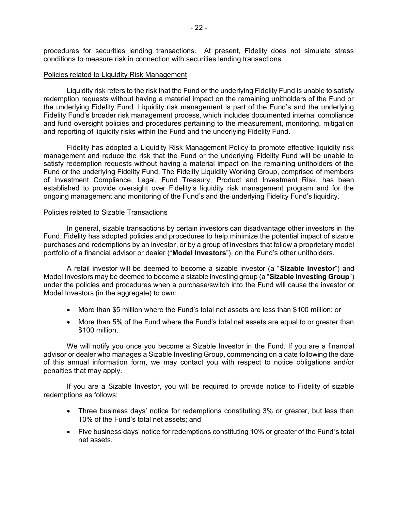procedures for securities lending transactions. At present, Fidelity does not simulate stress conditions to measure risk in connection with securities lending transactions.

#### Policies related to Liquidity Risk Management

Liquidity risk refers to the risk that the Fund or the underlying Fidelity Fund is unable to satisfy redemption requests without having a material impact on the remaining unitholders of the Fund or the underlying Fidelity Fund. Liquidity risk management is part of the Fund's and the underlying Fidelity Fund's broader risk management process, which includes documented internal compliance and fund oversight policies and procedures pertaining to the measurement, monitoring, mitigation and reporting of liquidity risks within the Fund and the underlying Fidelity Fund.

Fidelity has adopted a Liquidity Risk Management Policy to promote effective liquidity risk management and reduce the risk that the Fund or the underlying Fidelity Fund will be unable to satisfy redemption requests without having a material impact on the remaining unitholders of the Fund or the underlying Fidelity Fund. The Fidelity Liquidity Working Group, comprised of members of Investment Compliance, Legal, Fund Treasury, Product and Investment Risk, has been established to provide oversight over Fidelity's liquidity risk management program and for the ongoing management and monitoring of the Fund's and the underlying Fidelity Fund's liquidity.

#### Policies related to Sizable Transactions

In general, sizable transactions by certain investors can disadvantage other investors in the Fund. Fidelity has adopted policies and procedures to help minimize the potential impact of sizable purchases and redemptions by an investor, or by a group of investors that follow a proprietary model portfolio of a financial advisor or dealer ("**Model Investors**"), on the Fund's other unitholders.

A retail investor will be deemed to become a sizable investor (a "**Sizable Investor**") and Model Investors may be deemed to become a sizable investing group (a "**Sizable Investing Group**") under the policies and procedures when a purchase/switch into the Fund will cause the investor or Model Investors (in the aggregate) to own:

- More than \$5 million where the Fund's total net assets are less than \$100 million; or
- More than 5% of the Fund where the Fund's total net assets are equal to or greater than \$100 million.

We will notify you once you become a Sizable Investor in the Fund. If you are a financial advisor or dealer who manages a Sizable Investing Group, commencing on a date following the date of this annual information form, we may contact you with respect to notice obligations and/or penalties that may apply.

If you are a Sizable Investor, you will be required to provide notice to Fidelity of sizable redemptions as follows:

- Three business days' notice for redemptions constituting 3% or greater, but less than 10% of the Fund's total net assets; and
- Five business days' notice for redemptions constituting 10% or greater of the Fund's total net assets.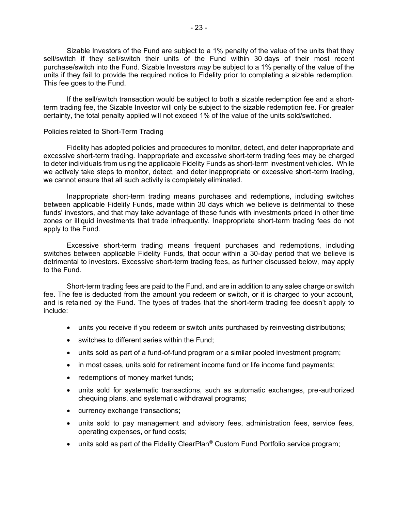Sizable Investors of the Fund are subject to a 1% penalty of the value of the units that they sell/switch if they sell/switch their units of the Fund within 30 days of their most recent purchase/switch into the Fund. Sizable Investors *may* be subject to a 1% penalty of the value of the units if they fail to provide the required notice to Fidelity prior to completing a sizable redemption. This fee goes to the Fund.

If the sell/switch transaction would be subject to both a sizable redemption fee and a shortterm trading fee, the Sizable Investor will only be subject to the sizable redemption fee. For greater certainty, the total penalty applied will not exceed 1% of the value of the units sold/switched.

#### Policies related to Short-Term Trading

Fidelity has adopted policies and procedures to monitor, detect, and deter inappropriate and excessive short-term trading. Inappropriate and excessive short-term trading fees may be charged to deter individuals from using the applicable Fidelity Funds as short-term investment vehicles. While we actively take steps to monitor, detect, and deter inappropriate or excessive short-term trading, we cannot ensure that all such activity is completely eliminated.

Inappropriate short-term trading means purchases and redemptions, including switches between applicable Fidelity Funds, made within 30 days which we believe is detrimental to these funds' investors, and that may take advantage of these funds with investments priced in other time zones or illiquid investments that trade infrequently. Inappropriate short-term trading fees do not apply to the Fund.

Excessive short-term trading means frequent purchases and redemptions, including switches between applicable Fidelity Funds, that occur within a 30-day period that we believe is detrimental to investors. Excessive short-term trading fees, as further discussed below, may apply to the Fund.

Short-term trading fees are paid to the Fund, and are in addition to any sales charge or switch fee. The fee is deducted from the amount you redeem or switch, or it is charged to your account, and is retained by the Fund. The types of trades that the short-term trading fee doesn't apply to include:

- units you receive if you redeem or switch units purchased by reinvesting distributions;
- switches to different series within the Fund;
- units sold as part of a fund-of-fund program or a similar pooled investment program;
- in most cases, units sold for retirement income fund or life income fund payments;
- redemptions of money market funds;
- units sold for systematic transactions, such as automatic exchanges, pre-authorized chequing plans, and systematic withdrawal programs;
- currency exchange transactions;
- units sold to pay management and advisory fees, administration fees, service fees, operating expenses, or fund costs;
- units sold as part of the Fidelity ClearPlan<sup>®</sup> Custom Fund Portfolio service program;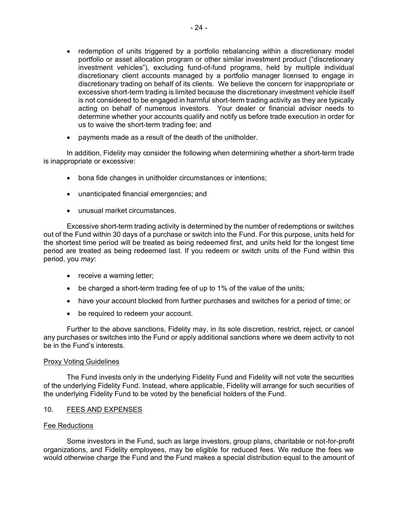- redemption of units triggered by a portfolio rebalancing within a discretionary model portfolio or asset allocation program or other similar investment product ("discretionary investment vehicles"), excluding fund-of-fund programs, held by multiple individual discretionary client accounts managed by a portfolio manager licensed to engage in discretionary trading on behalf of its clients. We believe the concern for inappropriate or excessive short-term trading is limited because the discretionary investment vehicle itself is not considered to be engaged in harmful short-term trading activity as they are typically acting on behalf of numerous investors. Your dealer or financial advisor needs to determine whether your accounts qualify and notify us before trade execution in order for us to waive the short-term trading fee; and
- payments made as a result of the death of the unitholder.

In addition, Fidelity may consider the following when determining whether a short-term trade is inappropriate or excessive:

- bona fide changes in unitholder circumstances or intentions;
- unanticipated financial emergencies; and
- unusual market circumstances.

Excessive short-term trading activity is determined by the number of redemptions or switches out of the Fund within 30 days of a purchase or switch into the Fund. For this purpose, units held for the shortest time period will be treated as being redeemed first, and units held for the longest time period are treated as being redeemed last. If you redeem or switch units of the Fund within this period, you *may*:

- receive a warning letter;
- be charged a short-term trading fee of up to 1% of the value of the units;
- have your account blocked from further purchases and switches for a period of time; or
- be required to redeem your account.

Further to the above sanctions, Fidelity may, in its sole discretion, restrict, reject, or cancel any purchases or switches into the Fund or apply additional sanctions where we deem activity to not be in the Fund's interests.

## Proxy Voting Guidelines

The Fund invests only in the underlying Fidelity Fund and Fidelity will not vote the securities of the underlying Fidelity Fund. Instead, where applicable, Fidelity will arrange for such securities of the underlying Fidelity Fund to be voted by the beneficial holders of the Fund.

## <span id="page-24-0"></span>10. FEES AND EXPENSES

## Fee Reductions

Some investors in the Fund, such as large investors, group plans, charitable or not-for-profit organizations, and Fidelity employees, may be eligible for reduced fees. We reduce the fees we would otherwise charge the Fund and the Fund makes a special distribution equal to the amount of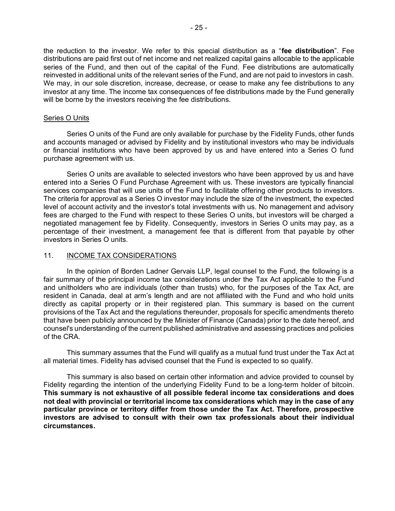the reduction to the investor. We refer to this special distribution as a "**fee distribution**". Fee distributions are paid first out of net income and net realized capital gains allocable to the applicable series of the Fund, and then out of the capital of the Fund. Fee distributions are automatically reinvested in additional units of the relevant series of the Fund, and are not paid to investors in cash. We may, in our sole discretion, increase, decrease, or cease to make any fee distributions to any investor at any time. The income tax consequences of fee distributions made by the Fund generally will be borne by the investors receiving the fee distributions.

#### Series O Units

Series O units of the Fund are only available for purchase by the Fidelity Funds, other funds and accounts managed or advised by Fidelity and by institutional investors who may be individuals or financial institutions who have been approved by us and have entered into a Series O fund purchase agreement with us.

Series O units are available to selected investors who have been approved by us and have entered into a Series O Fund Purchase Agreement with us. These investors are typically financial services companies that will use units of the Fund to facilitate offering other products to investors. The criteria for approval as a Series O investor may include the size of the investment, the expected level of account activity and the investor's total investments with us. No management and advisory fees are charged to the Fund with respect to these Series O units, but investors will be charged a negotiated management fee by Fidelity. Consequently, investors in Series O units may pay, as a percentage of their investment, a management fee that is different from that payable by other investors in Series O units.

## <span id="page-25-0"></span>11. INCOME TAX CONSIDERATIONS

In the opinion of Borden Ladner Gervais LLP, legal counsel to the Fund, the following is a fair summary of the principal income tax considerations under the Tax Act applicable to the Fund and unitholders who are individuals (other than trusts) who, for the purposes of the Tax Act, are resident in Canada, deal at arm's length and are not affiliated with the Fund and who hold units directly as capital property or in their registered plan. This summary is based on the current provisions of the Tax Act and the regulations thereunder, proposals for specific amendments thereto that have been publicly announced by the Minister of Finance (Canada) prior to the date hereof, and counsel's understanding of the current published administrative and assessing practices and policies of the CRA.

This summary assumes that the Fund will qualify as a mutual fund trust under the Tax Act at all material times. Fidelity has advised counsel that the Fund is expected to so qualify.

This summary is also based on certain other information and advice provided to counsel by Fidelity regarding the intention of the underlying Fidelity Fund to be a long-term holder of bitcoin. **This summary is not exhaustive of all possible federal income tax considerations and does not deal with provincial or territorial income tax considerations which may in the case of any particular province or territory differ from those under the Tax Act. Therefore, prospective investors are advised to consult with their own tax professionals about their individual circumstances.**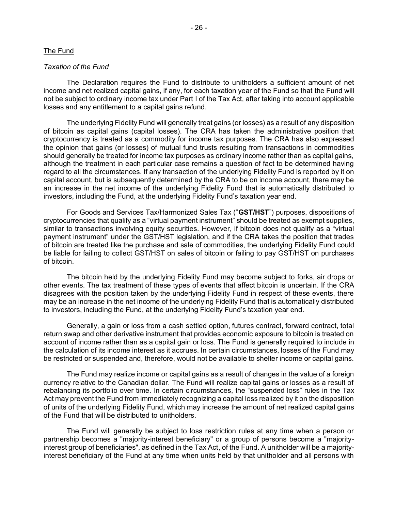#### The Fund

#### *Taxation of the Fund*

The Declaration requires the Fund to distribute to unitholders a sufficient amount of net income and net realized capital gains, if any, for each taxation year of the Fund so that the Fund will not be subject to ordinary income tax under Part I of the Tax Act, after taking into account applicable losses and any entitlement to a capital gains refund.

The underlying Fidelity Fund will generally treat gains (or losses) as a result of any disposition of bitcoin as capital gains (capital losses). The CRA has taken the administrative position that cryptocurrency is treated as a commodity for income tax purposes. The CRA has also expressed the opinion that gains (or losses) of mutual fund trusts resulting from transactions in commodities should generally be treated for income tax purposes as ordinary income rather than as capital gains, although the treatment in each particular case remains a question of fact to be determined having regard to all the circumstances. If any transaction of the underlying Fidelity Fund is reported by it on capital account, but is subsequently determined by the CRA to be on income account, there may be an increase in the net income of the underlying Fidelity Fund that is automatically distributed to investors, including the Fund, at the underlying Fidelity Fund's taxation year end.

For Goods and Services Tax/Harmonized Sales Tax ("**GST/HST**") purposes, dispositions of cryptocurrencies that qualify as a "virtual payment instrument" should be treated as exempt supplies, similar to transactions involving equity securities. However, if bitcoin does not qualify as a "virtual payment instrument" under the GST/HST legislation, and if the CRA takes the position that trades of bitcoin are treated like the purchase and sale of commodities, the underlying Fidelity Fund could be liable for failing to collect GST/HST on sales of bitcoin or failing to pay GST/HST on purchases of bitcoin.

The bitcoin held by the underlying Fidelity Fund may become subject to forks, air drops or other events. The tax treatment of these types of events that affect bitcoin is uncertain. If the CRA disagrees with the position taken by the underlying Fidelity Fund in respect of these events, there may be an increase in the net income of the underlying Fidelity Fund that is automatically distributed to investors, including the Fund, at the underlying Fidelity Fund's taxation year end.

Generally, a gain or loss from a cash settled option, futures contract, forward contract, total return swap and other derivative instrument that provides economic exposure to bitcoin is treated on account of income rather than as a capital gain or loss. The Fund is generally required to include in the calculation of its income interest as it accrues. In certain circumstances, losses of the Fund may be restricted or suspended and, therefore, would not be available to shelter income or capital gains.

The Fund may realize income or capital gains as a result of changes in the value of a foreign currency relative to the Canadian dollar. The Fund will realize capital gains or losses as a result of rebalancing its portfolio over time. In certain circumstances, the "suspended loss" rules in the Tax Act may prevent the Fund from immediately recognizing a capital loss realized by it on the disposition of units of the underlying Fidelity Fund, which may increase the amount of net realized capital gains of the Fund that will be distributed to unitholders.

The Fund will generally be subject to loss restriction rules at any time when a person or partnership becomes a "majority-interest beneficiary" or a group of persons become a "majorityinterest group of beneficiaries", as defined in the Tax Act, of the Fund. A unitholder will be a majorityinterest beneficiary of the Fund at any time when units held by that unitholder and all persons with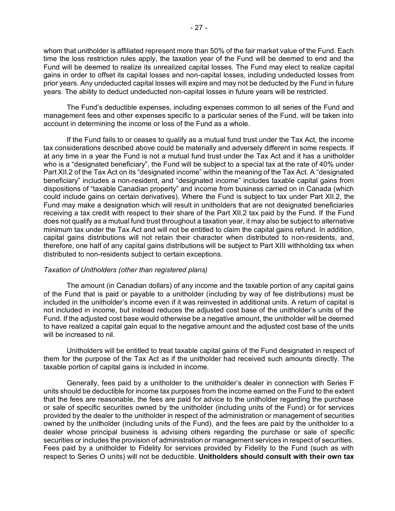whom that unitholder is affiliated represent more than 50% of the fair market value of the Fund. Each time the loss restriction rules apply, the taxation year of the Fund will be deemed to end and the Fund will be deemed to realize its unrealized capital losses. The Fund may elect to realize capital gains in order to offset its capital losses and non-capital losses, including undeducted losses from prior years. Any undeducted capital losses will expire and may not be deducted by the Fund in future years. The ability to deduct undeducted non-capital losses in future years will be restricted.

The Fund's deductible expenses, including expenses common to all series of the Fund and management fees and other expenses specific to a particular series of the Fund, will be taken into account in determining the income or loss of the Fund as a whole.

If the Fund fails to or ceases to qualify as a mutual fund trust under the Tax Act, the income tax considerations described above could be materially and adversely different in some respects. If at any time in a year the Fund is not a mutual fund trust under the Tax Act and it has a unitholder who is a "designated beneficiary", the Fund will be subject to a special tax at the rate of 40% under Part XII.2 of the Tax Act on its "designated income" within the meaning of the Tax Act. A "designated beneficiary" includes a non-resident, and "designated income" includes taxable capital gains from dispositions of "taxable Canadian property" and income from business carried on in Canada (which could include gains on certain derivatives). Where the Fund is subject to tax under Part XII.2, the Fund may make a designation which will result in unitholders that are not designated beneficiaries receiving a tax credit with respect to their share of the Part XII.2 tax paid by the Fund. If the Fund does not qualify as a mutual fund trust throughout a taxation year, it may also be subject to alternative minimum tax under the Tax Act and will not be entitled to claim the capital gains refund. In addition, capital gains distributions will not retain their character when distributed to non-residents, and, therefore, one half of any capital gains distributions will be subject to Part XIII withholding tax when distributed to non-residents subject to certain exceptions.

## *Taxation of Unitholders (other than registered plans)*

The amount (in Canadian dollars) of any income and the taxable portion of any capital gains of the Fund that is paid or payable to a unitholder (including by way of fee distributions) must be included in the unitholder's income even if it was reinvested in additional units. A return of capital is not included in income, but instead reduces the adjusted cost base of the unitholder's units of the Fund. If the adjusted cost base would otherwise be a negative amount, the unitholder will be deemed to have realized a capital gain equal to the negative amount and the adjusted cost base of the units will be increased to nil.

Unitholders will be entitled to treat taxable capital gains of the Fund designated in respect of them for the purpose of the Tax Act as if the unitholder had received such amounts directly. The taxable portion of capital gains is included in income.

Generally, fees paid by a unitholder to the unitholder's dealer in connection with Series F units should be deductible for income tax purposes from the income earned on the Fund to the extent that the fees are reasonable, the fees are paid for advice to the unitholder regarding the purchase or sale of specific securities owned by the unitholder (including units of the Fund) or for services provided by the dealer to the unitholder in respect of the administration or management of securities owned by the unitholder (including units of the Fund), and the fees are paid by the unitholder to a dealer whose principal business is advising others regarding the purchase or sale of specific securities or includes the provision of administration or management services in respect of securities. Fees paid by a unitholder to Fidelity for services provided by Fidelity to the Fund (such as with respect to Series O units) will not be deductible. **Unitholders should consult with their own tax**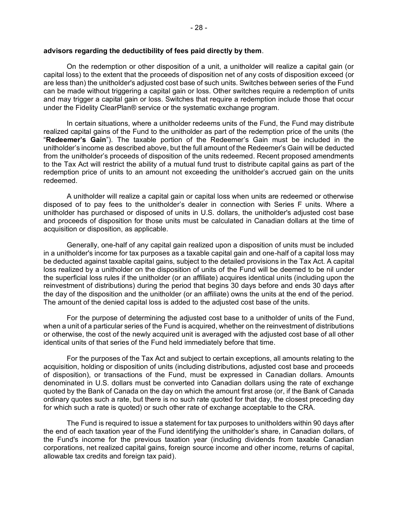#### **advisors regarding the deductibility of fees paid directly by them**.

On the redemption or other disposition of a unit, a unitholder will realize a capital gain (or capital loss) to the extent that the proceeds of disposition net of any costs of disposition exceed (or are less than) the unitholder's adjusted cost base of such units. Switches between series of the Fund can be made without triggering a capital gain or loss. Other switches require a redemption of units and may trigger a capital gain or loss. Switches that require a redemption include those that occur under the Fidelity ClearPlan® service or the systematic exchange program.

In certain situations, where a unitholder redeems units of the Fund, the Fund may distribute realized capital gains of the Fund to the unitholder as part of the redemption price of the units (the "**Redeemer's Gain**"). The taxable portion of the Redeemer's Gain must be included in the unitholder's income as described above, but the full amount of the Redeemer's Gain will be deducted from the unitholder's proceeds of disposition of the units redeemed. Recent proposed amendments to the Tax Act will restrict the ability of a mutual fund trust to distribute capital gains as part of the redemption price of units to an amount not exceeding the unitholder's accrued gain on the units redeemed.

A unitholder will realize a capital gain or capital loss when units are redeemed or otherwise disposed of to pay fees to the unitholder's dealer in connection with Series F units. Where a unitholder has purchased or disposed of units in U.S. dollars, the unitholder's adjusted cost base and proceeds of disposition for those units must be calculated in Canadian dollars at the time of acquisition or disposition, as applicable.

Generally, one-half of any capital gain realized upon a disposition of units must be included in a unitholder's income for tax purposes as a taxable capital gain and one-half of a capital loss may be deducted against taxable capital gains, subject to the detailed provisions in the Tax Act. A capital loss realized by a unitholder on the disposition of units of the Fund will be deemed to be nil under the superficial loss rules if the unitholder (or an affiliate) acquires identical units (including upon the reinvestment of distributions) during the period that begins 30 days before and ends 30 days after the day of the disposition and the unitholder (or an affiliate) owns the units at the end of the period. The amount of the denied capital loss is added to the adjusted cost base of the units.

For the purpose of determining the adjusted cost base to a unitholder of units of the Fund, when a unit of a particular series of the Fund is acquired, whether on the reinvestment of distributions or otherwise, the cost of the newly acquired unit is averaged with the adjusted cost base of all other identical units of that series of the Fund held immediately before that time.

For the purposes of the Tax Act and subject to certain exceptions, all amounts relating to the acquisition, holding or disposition of units (including distributions, adjusted cost base and proceeds of disposition), or transactions of the Fund, must be expressed in Canadian dollars. Amounts denominated in U.S. dollars must be converted into Canadian dollars using the rate of exchange quoted by the Bank of Canada on the day on which the amount first arose (or, if the Bank of Canada ordinary quotes such a rate, but there is no such rate quoted for that day, the closest preceding day for which such a rate is quoted) or such other rate of exchange acceptable to the CRA.

The Fund is required to issue a statement for tax purposes to unitholders within 90 days after the end of each taxation year of the Fund identifying the unitholder's share, in Canadian dollars, of the Fund's income for the previous taxation year (including dividends from taxable Canadian corporations, net realized capital gains, foreign source income and other income, returns of capital, allowable tax credits and foreign tax paid).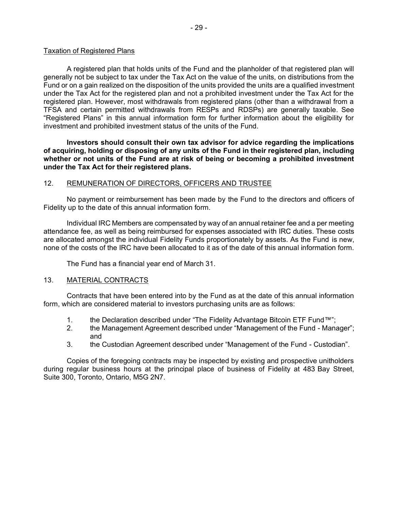## Taxation of Registered Plans

A registered plan that holds units of the Fund and the planholder of that registered plan will generally not be subject to tax under the Tax Act on the value of the units, on distributions from the Fund or on a gain realized on the disposition of the units provided the units are a qualified investment under the Tax Act for the registered plan and not a prohibited investment under the Tax Act for the registered plan. However, most withdrawals from registered plans (other than a withdrawal from a TFSA and certain permitted withdrawals from RESPs and RDSPs) are generally taxable. See "Registered Plans" in this annual information form for further information about the eligibility for investment and prohibited investment status of the units of the Fund.

**Investors should consult their own tax advisor for advice regarding the implications of acquiring, holding or disposing of any units of the Fund in their registered plan, including whether or not units of the Fund are at risk of being or becoming a prohibited investment under the Tax Act for their registered plans.**

## 12. REMUNERATION OF DIRECTORS, OFFICERS AND TRUSTEE

No payment or reimbursement has been made by the Fund to the directors and officers of Fidelity up to the date of this annual information form.

Individual IRC Members are compensated by way of an annual retainer fee and a per meeting attendance fee, as well as being reimbursed for expenses associated with IRC duties. These costs are allocated amongst the individual Fidelity Funds proportionately by assets. As the Fund is new, none of the costs of the IRC have been allocated to it as of the date of this annual information form.

<span id="page-29-1"></span><span id="page-29-0"></span>The Fund has a financial year end of March 31.

## 13. MATERIAL CONTRACTS

Contracts that have been entered into by the Fund as at the date of this annual information form, which are considered material to investors purchasing units are as follows:

- 1. the Declaration described under "The Fidelity Advantage Bitcoin ETF Fund™";
- 2. the Management Agreement described under "Management of the Fund Manager"; and
- 3. the Custodian Agreement described under "Management of the Fund Custodian".

Copies of the foregoing contracts may be inspected by existing and prospective unitholders during regular business hours at the principal place of business of Fidelity at 483 Bay Street, Suite 300, Toronto, Ontario, M5G 2N7.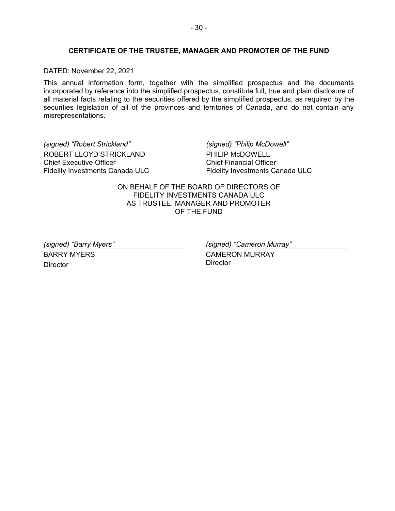## <span id="page-30-0"></span>**CERTIFICATE OF THE TRUSTEE, MANAGER AND PROMOTER OF THE FUND**

DATED: November 22, 2021

This annual information form, together with the simplified prospectus and the documents incorporated by reference into the simplified prospectus, constitute full, true and plain disclosure of all material facts relating to the securities offered by the simplified prospectus, as required by the securities legislation of all of the provinces and territories of Canada, and do not contain any misrepresentations.

*(signed) "Robert Strickland"* ROBERT LLOYD STRICKLAND Chief Executive Officer Fidelity Investments Canada ULC *(signed) "Philip McDowell"*

PHILIP McDOWELL Chief Financial Officer Fidelity Investments Canada ULC

ON BEHALF OF THE BOARD OF DIRECTORS OF FIDELITY INVESTMENTS CANADA ULC AS TRUSTEE, MANAGER AND PROMOTER OF THE FUND

*(signed) "Barry Myers"* BARRY MYERS **Director** 

*(signed) "Cameron Murray"*

CAMERON MURRAY **Director**